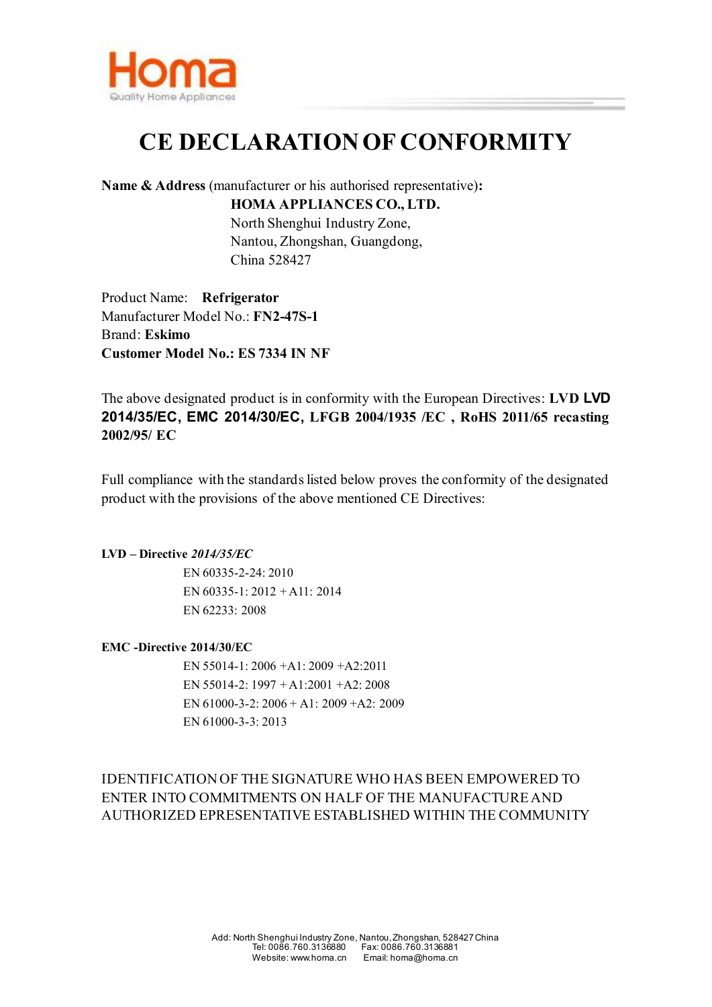

## **CE DECLARATION OF CONFORMITY**

**Name & Address** (manufacturer or his authorised representative)**:**

**HOMA APPLIANCES CO., LTD.** North Shenghui Industry Zone, Nantou, Zhongshan, Guangdong, China 528427

Product Name: **Refrigerator**  Manufacturer Model No.: **FN2-47S-1** Brand: **Eskimo**

**Customer Model No.: ES 7334 IN NF**

The above designated product is in conformity with the European Directives: **LVD LVD 2014/35/EC, EMC 2014/30/EC, LFGB 2004/1935 /EC , RoHS 2011/65 recasting** 

Full compliance with the standards listed below proves the conformity of the designated product with the provisions of the above mentioned CE Directives:

## **LVD – Directive** *2014/35/EC*

**2002/95/ EC**

 EN 60335-2-24: 2010 EN 60335-1: 2012 + A11: 2014 EN 62233: 2008

## **EMC -Directive 2014/30/EC**

EN 55014-1: 2006 +A1: 2009 +A2:2011 EN 55014-2: 1997 + A1:2001 +A2: 2008 EN 61000-3-2: 2006 + A1: 2009 +A2: 2009 EN 61000-3-3: 2013

IDENTIFICATION OF THE SIGNATURE WHO HAS BEEN EMPOWERED TO ENTER INTO COMMITMENTS ON HALF OF THE MANUFACTURE AND AUTHORIZED EPRESENTATIVE ESTABLISHED WITHIN THE COMMUNITY